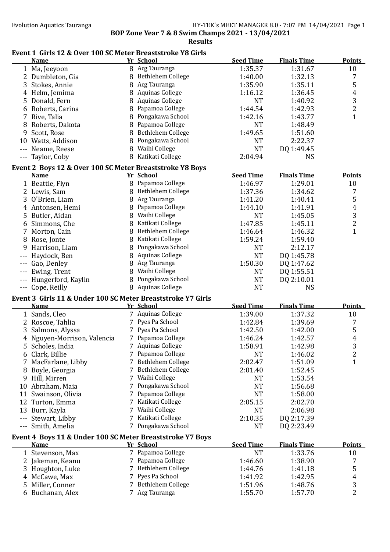**Results**

#### Event 1 Girls 12 & Over 100 SC Meter Breaststroke Y8 Girls

|       | <b>Name</b>                                                 |    | Yr School              | <b>Seed Time</b> | <b>Finals Time</b> | <b>Points</b>    |
|-------|-------------------------------------------------------------|----|------------------------|------------------|--------------------|------------------|
|       | 1 Ma, Jeeyoon                                               |    | 8 Acg Tauranga         | 1:35.37          | 1:31.67            | 10               |
|       | 2 Dumbleton, Gia                                            |    | 8 Bethlehem College    | 1:40.00          | 1:32.13            | 7                |
| 3     | Stokes, Annie                                               | 8  | Acg Tauranga           | 1:35.90          | 1:35.11            | 5                |
|       | Helm, Jemima                                                |    | <b>Aquinas College</b> | 1:16.12          | 1:36.45            | $\overline{4}$   |
| 5.    | Donald, Fern                                                |    | <b>Aquinas College</b> | <b>NT</b>        | 1:40.92            | $\mathbf{3}$     |
|       | 6 Roberts, Carina                                           |    | Papamoa College        | 1:44.54          | 1:42.93            | $\overline{c}$   |
|       | 7 Rive, Talia                                               |    | Pongakawa School       | 1:42.16          | 1:43.77            | $\mathbf{1}$     |
| 8     | Roberts, Dakota                                             |    | Papamoa College        | <b>NT</b>        | 1:48.49            |                  |
| 9     | Scott, Rose                                                 |    | Bethlehem College      | 1:49.65          | 1:51.60            |                  |
|       | 10 Watts, Addison                                           |    | Pongakawa School       | <b>NT</b>        | 2:22.37            |                  |
|       | --- Neame, Reese                                            |    | 8 Waihi College        | <b>NT</b>        | DQ 1:49.45         |                  |
|       | --- Taylor, Coby                                            |    | 8 Katikati College     | 2:04.94          | <b>NS</b>          |                  |
|       |                                                             |    |                        |                  |                    |                  |
|       | Event 2 Boys 12 & Over 100 SC Meter Breaststroke Y8 Boys    |    |                        |                  |                    |                  |
|       | <b>Name</b>                                                 |    | Yr School              | <b>Seed Time</b> | <b>Finals Time</b> | <b>Points</b>    |
|       | 1 Beattie, Flyn                                             |    | 8 Papamoa College      | 1:46.97          | 1:29.01            | 10               |
|       | 2 Lewis, Sam                                                |    | 8 Bethlehem College    | 1:37.36          | 1:34.62            | 7                |
|       | 3 O'Brien, Liam                                             |    | 8 Acg Tauranga         | 1:41.20          | 1:40.41            | 5                |
|       | 4 Antonsen, Hemi                                            |    | 8 Papamoa College      | 1:44.10          | 1:41.91            | $\overline{4}$   |
|       | 5 Butler, Aidan                                             |    | 8 Waihi College        | <b>NT</b>        | 1:45.05            | 3                |
|       | 6 Simmons, Che                                              |    | 8 Katikati College     | 1:47.85          | 1:45.11            | $\overline{c}$   |
|       | 7 Morton, Cain                                              |    | 8 Bethlehem College    | 1:46.64          | 1:46.32            | $\mathbf{1}$     |
|       | 8 Rose, Jonte                                               |    | 8 Katikati College     | 1:59.24          | 1:59.40            |                  |
| 9     | Harrison, Liam                                              |    | 8 Pongakawa School     | <b>NT</b>        | 2:12.17            |                  |
|       | Haydock, Ben                                                | 8  | <b>Aquinas College</b> | <b>NT</b>        | DQ 1:45.78         |                  |
|       | Gao, Denley                                                 | 8  | Acg Tauranga           | 1:50.30          | DQ 1:47.62         |                  |
|       | Ewing, Trent                                                | 8  | Waihi College          | <b>NT</b>        | DQ 1:55.51         |                  |
|       | Hungerford, Kaylin                                          |    | 8 Pongakawa School     | <b>NT</b>        | DQ 2:10.01         |                  |
|       | --- Cope, Reilly                                            |    | 8 Aquinas College      | <b>NT</b>        | <b>NS</b>          |                  |
|       | Event 3 Girls 11 & Under 100 SC Meter Breaststroke Y7 Girls |    |                        |                  |                    |                  |
|       | <b>Name</b>                                                 |    | Yr School              | <b>Seed Time</b> | <b>Finals Time</b> | <b>Points</b>    |
|       | 1 Sands, Cleo                                               |    | 7 Aquinas College      | 1:39.00          | 1:37.32            | 10               |
|       | 2 Roscoe, Tahlia                                            |    | 7 Pyes Pa School       | 1:42.84          | 1:39.69            | 7                |
| 3     | Salmons, Alyssa                                             |    | 7 Pyes Pa School       | 1:42.50          | 1:42.00            | 5                |
|       | Nguyen-Morrison, Valencia                                   |    | 7 Papamoa College      | 1:46.24          | 1:42.57            | 4                |
|       | 5 Scholes, India                                            |    | 7 Aquinas College      | 1:58.91          | 1:42.98            | 3                |
|       |                                                             |    | 7 Papamoa College      |                  |                    |                  |
|       | 6 Clark, Billie                                             |    |                        | <b>NT</b>        | 1:46.02            | 2                |
|       | 7 MacFarlane, Libby                                         |    | 7 Bethlehem College    | 2:02.47          | 1:51.09            | $\mathbf{1}$     |
|       | 8 Boyle, Georgia                                            |    | Bethlehem College      | 2:01.40          | 1:52.45            |                  |
|       | 9 Hill, Mirren                                              |    | Waihi College          | <b>NT</b>        | 1:53.54            |                  |
|       | 10 Abraham, Maia                                            |    | Pongakawa School       | <b>NT</b>        | 1:56.68            |                  |
|       | 11 Swainson, Olivia                                         |    | Papamoa College        | <b>NT</b>        | 1:58.00            |                  |
|       | 12 Turton, Emma                                             |    | Katikati College       | 2:05.15          | 2:02.70            |                  |
|       | 13 Burr, Kayla                                              |    | Waihi College          | <b>NT</b>        | 2:06.98            |                  |
| $---$ | Stewart, Libby                                              |    | Katikati College       | 2:10.35          | DQ 2:17.39         |                  |
|       | Smith, Amelia                                               |    | 7 Pongakawa School     | <b>NT</b>        | DQ 2:23.49         |                  |
|       | Event 4 Boys 11 & Under 100 SC Meter Breaststroke Y7 Boys   |    |                        |                  |                    |                  |
|       | <b>Name</b>                                                 |    | Yr School              | <b>Seed Time</b> | <b>Finals Time</b> | <b>Points</b>    |
|       | 1 Stevenson, Max                                            |    | 7 Papamoa College      | <b>NT</b>        | 1:33.76            | 10               |
|       | 2 Jakeman, Keanu                                            |    | Papamoa College        | 1:46.60          | 1:38.90            | 7                |
|       | 3 Houghton, Luke                                            | 7. | Bethlehem College      | 1:44.76          | 1:41.18            | 5                |
|       | 4 McCawe, Max                                               |    | Pyes Pa School         | 1:41.92          | 1:42.95            | $\boldsymbol{4}$ |
|       | 5 Miller, Conner                                            |    | Bethlehem College      | 1:51.96          | 1:48.76            | $\sqrt{3}$       |
|       | 6 Buchanan, Alex                                            |    | 7 Acg Tauranga         | 1:55.70          | 1:57.70            | $\overline{2}$   |
|       |                                                             |    |                        |                  |                    |                  |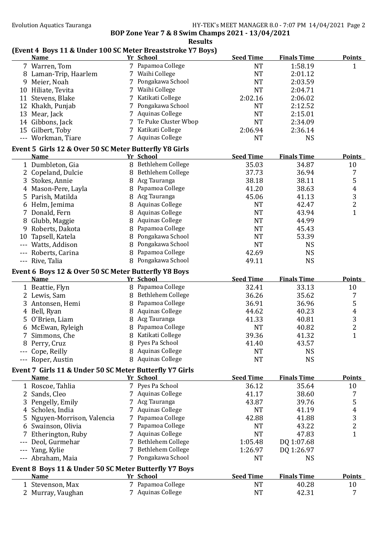## **(Event 4 Boys 11 & Under 100 SC Meter Breaststroke Y7 Boys)**

|       | <b>Name</b>                                             |   | Yr School              | <b>Seed Time</b> | <b>Finals Time</b> | <b>Points</b>           |
|-------|---------------------------------------------------------|---|------------------------|------------------|--------------------|-------------------------|
|       | 7 Warren, Tom                                           |   | 7 Papamoa College      | <b>NT</b>        | 1:58.19            | $\mathbf{1}$            |
|       | 8 Laman-Trip, Haarlem                                   |   | 7 Waihi College        | <b>NT</b>        | 2:01.12            |                         |
|       | 9 Meier, Noah                                           |   | 7 Pongakawa School     | <b>NT</b>        | 2:03.59            |                         |
|       | 10 Hiliate, Tevita                                      |   | 7 Waihi College        | <b>NT</b>        | 2:04.71            |                         |
|       | 11 Stevens, Blake                                       |   | Katikati College       | 2:02.16          | 2:06.02            |                         |
|       | 12 Khakh, Punjab                                        |   | 7 Pongakawa School     | <b>NT</b>        | 2:12.52            |                         |
|       | 13 Mear, Jack                                           |   | 7 Aquinas College      | <b>NT</b>        | 2:15.01            |                         |
|       |                                                         |   | 7 Te Puke Cluster Wbop | <b>NT</b>        | 2:34.09            |                         |
|       | 14 Gibbons, Jack                                        |   |                        |                  |                    |                         |
|       | 15 Gilbert, Toby                                        |   | 7 Katikati College     | 2:06.94          | 2:36.14            |                         |
|       | --- Workman, Tiare                                      |   | 7 Aquinas College      | <b>NT</b>        | <b>NS</b>          |                         |
|       | Event 5 Girls 12 & Over 50 SC Meter Butterfly Y8 Girls  |   |                        |                  |                    |                         |
|       | <b>Name</b>                                             |   | Yr School              | <b>Seed Time</b> | <b>Finals Time</b> | <b>Points</b>           |
|       | 1 Dumbleton, Gia                                        |   | 8 Bethlehem College    | 35.03            | 34.87              | 10                      |
|       | 2 Copeland, Dulcie                                      |   | 8 Bethlehem College    | 37.73            | 36.94              | 7                       |
|       | 3 Stokes, Annie                                         |   | 8 Acg Tauranga         | 38.18            | 38.11              | 5                       |
|       | 4 Mason-Pere, Layla                                     |   | 8 Papamoa College      | 41.20            | 38.63              | $\overline{4}$          |
|       | 5 Parish, Matilda                                       |   | 8 Acg Tauranga         | 45.06            | 41.13              | 3                       |
|       |                                                         |   | 8 Aquinas College      | <b>NT</b>        | 42.47              | $\overline{\mathbf{c}}$ |
|       | 6 Helm, Jemima                                          |   |                        |                  |                    |                         |
|       | 7 Donald, Fern                                          | 8 | <b>Aquinas College</b> | <b>NT</b>        | 43.94              | $\mathbf{1}$            |
|       | 8 Glubb, Maggie                                         | 8 | <b>Aquinas College</b> | <b>NT</b>        | 44.99              |                         |
|       | 9 Roberts, Dakota                                       | 8 | Papamoa College        | <b>NT</b>        | 45.43              |                         |
|       | 10 Tapsell, Katela                                      |   | 8 Pongakawa School     | <b>NT</b>        | 53.39              |                         |
|       | Watts, Addison                                          | 8 | Pongakawa School       | <b>NT</b>        | <b>NS</b>          |                         |
|       | Roberts, Carina                                         | 8 | Papamoa College        | 42.69            | <b>NS</b>          |                         |
|       | --- Rive, Talia                                         |   | 8 Pongakawa School     | 49.11            | <b>NS</b>          |                         |
|       |                                                         |   |                        |                  |                    |                         |
|       | Event 6 Boys 12 & Over 50 SC Meter Butterfly Y8 Boys    |   |                        | <b>Seed Time</b> |                    | <b>Points</b>           |
|       | <b>Name</b>                                             |   | Yr School              |                  | <b>Finals Time</b> |                         |
|       | 1 Beattie, Flyn                                         |   | 8 Papamoa College      | 32.41            | 33.13              | 10                      |
|       | 2 Lewis, Sam                                            |   | 8 Bethlehem College    | 36.26            | 35.62              | 7                       |
|       | 3 Antonsen, Hemi                                        |   | 8 Papamoa College      | 36.91            | 36.96              | 5                       |
|       | 4 Bell, Ryan                                            | 8 | <b>Aquinas College</b> | 44.62            | 40.23              | $\pmb{4}$               |
|       | 5 O'Brien, Liam                                         | 8 | Acg Tauranga           | 41.33            | 40.81              | 3                       |
|       | 6 McEwan, Ryleigh                                       |   | 8 Papamoa College      | <b>NT</b>        | 40.82              | $\overline{c}$          |
| 7     | Simmons, Che                                            | 8 | Katikati College       | 39.36            | 41.32              | $\mathbf{1}$            |
|       | 8 Perry, Cruz                                           |   | 8 Pyes Pa School       | 41.40            | 43.57              |                         |
|       | --- Cope, Reilly                                        |   | 8 Aquinas College      | NT               | <b>NS</b>          |                         |
|       | --- Roper, Austin                                       |   | 8 Aquinas College      | <b>NT</b>        | <b>NS</b>          |                         |
|       |                                                         |   |                        |                  |                    |                         |
|       | Event 7 Girls 11 & Under 50 SC Meter Butterfly Y7 Girls |   |                        |                  |                    |                         |
|       | <b>Name</b>                                             |   | Yr School              | <b>Seed Time</b> | <b>Finals Time</b> | <b>Points</b>           |
|       | 1 Roscoe, Tahlia                                        |   | 7 Pyes Pa School       | 36.12            | 35.64              | 10                      |
|       | 2 Sands, Cleo                                           |   | <b>Aquinas College</b> | 41.17            | 38.60              | 7                       |
|       | 3 Pengelly, Emily                                       |   | Acg Tauranga           | 43.87            | 39.76              | 5                       |
|       | Scholes, India                                          |   | Aquinas College        | <b>NT</b>        | 41.19              | 4                       |
|       | Nguyen-Morrison, Valencia                               |   | Papamoa College        | 42.88            | 41.88              | 3                       |
|       | 6 Swainson, Olivia                                      |   | 7 Papamoa College      | <b>NT</b>        | 43.22              | $\overline{c}$          |
|       | Etherington, Ruby                                       |   | 7 Aquinas College      | <b>NT</b>        | 47.83              | $\mathbf{1}$            |
| ---   | Deol, Gurmehar                                          |   | 7 Bethlehem College    | 1:05.48          | DQ 1:07.68         |                         |
|       |                                                         |   |                        |                  |                    |                         |
| $---$ | Yang, Kylie                                             |   | Bethlehem College      | 1:26.97          | DQ 1:26.97         |                         |
|       | --- Abraham, Maia                                       |   | 7 Pongakawa School     | NT               | <b>NS</b>          |                         |
|       | Event 8 Boys 11 & Under 50 SC Meter Butterfly Y7 Boys   |   |                        |                  |                    |                         |
|       | <b>Name</b>                                             |   | Yr School              | <b>Seed Time</b> | <b>Finals Time</b> | <b>Points</b>           |
|       | 1 Stevenson, Max                                        |   | 7 Papamoa College      | <b>NT</b>        | 40.28              | 10                      |
|       | 2 Murray, Vaughan                                       |   | 7 Aquinas College      | <b>NT</b>        | 42.31              | 7                       |
|       |                                                         |   |                        |                  |                    |                         |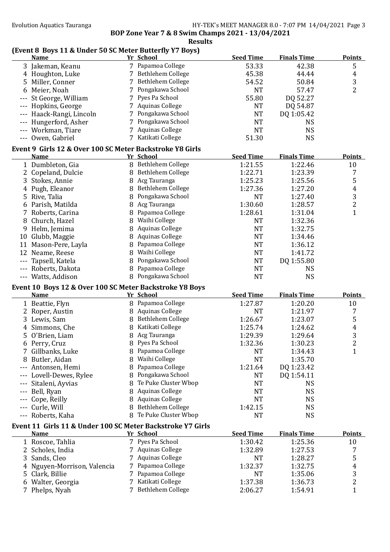## **(Event 8 Boys 11 & Under 50 SC Meter Butterfly Y7 Boys)**

| (Event 8 Boys 11 & Under 50 SC Meter Butterily 17 Boys)<br><b>Name</b> |   | Yr School              | <b>Seed Time</b> | <b>Finals Time</b> | <b>Points</b>           |
|------------------------------------------------------------------------|---|------------------------|------------------|--------------------|-------------------------|
| 3 Jakeman, Keanu                                                       |   | 7 Papamoa College      | 53.33            | 42.38              | 5                       |
| 4 Houghton, Luke                                                       |   | 7 Bethlehem College    | 45.38            | 44.44              | $\overline{4}$          |
| 5 Miller, Conner                                                       |   | 7 Bethlehem College    | 54.52            | 50.84              | 3                       |
| Meier, Noah<br>6                                                       |   | 7 Pongakawa School     | <b>NT</b>        | 57.47              | $\overline{2}$          |
| St George, William                                                     |   | 7 Pyes Pa School       | 55.80            | DQ 52.27           |                         |
| Hopkins, George                                                        |   | 7 Aquinas College      | <b>NT</b>        | DQ 54.87           |                         |
| Haack-Rangi, Lincoln                                                   |   | 7 Pongakawa School     | <b>NT</b>        | DQ 1:05.42         |                         |
| Hungerford, Asher                                                      |   | 7 Pongakawa School     | <b>NT</b>        | <b>NS</b>          |                         |
| Workman, Tiare                                                         |   | 7 Aquinas College      | <b>NT</b>        | <b>NS</b>          |                         |
| --- Owen, Gabriel                                                      |   | 7 Katikati College     | 51.30            | <b>NS</b>          |                         |
| Event 9 Girls 12 & Over 100 SC Meter Backstroke Y8 Girls               |   |                        |                  |                    |                         |
| <b>Name</b>                                                            |   | Yr School              | <b>Seed Time</b> | <b>Finals Time</b> | <b>Points</b>           |
| 1 Dumbleton, Gia                                                       |   | 8 Bethlehem College    | 1:21.55          | 1:22.46            | 10                      |
| 2 Copeland, Dulcie                                                     |   | 8 Bethlehem College    | 1:22.71          | 1:23.39            | 7                       |
| 3 Stokes, Annie                                                        |   | 8 Acg Tauranga         | 1:25.23          | 1:25.56            | 5                       |
| 4 Pugh, Eleanor                                                        |   | 8 Bethlehem College    | 1:27.36          | 1:27.20            | $\overline{4}$          |
| 5 Rive, Talia                                                          |   | 8 Pongakawa School     | <b>NT</b>        | 1:27.40            | 3                       |
| 6 Parish, Matilda                                                      | 8 | Acg Tauranga           | 1:30.60          | 1:28.57            | $\overline{c}$          |
| 7 Roberts, Carina                                                      | 8 | Papamoa College        | 1:28.61          | 1:31.04            | $\mathbf{1}$            |
| 8 Church, Hazel                                                        |   | 8 Waihi College        | <b>NT</b>        | 1:32.36            |                         |
| 9 Helm, Jemima                                                         | 8 | <b>Aquinas College</b> | <b>NT</b>        | 1:32.75            |                         |
| 10 Glubb, Maggie                                                       | 8 | <b>Aquinas College</b> | <b>NT</b>        | 1:34.46            |                         |
| 11 Mason-Pere, Layla                                                   | 8 | Papamoa College        | <b>NT</b>        | 1:36.12            |                         |
| 12 Neame, Reese                                                        |   | 8 Waihi College        | <b>NT</b>        | 1:41.72            |                         |
| --- Tapsell, Katela                                                    | 8 | Pongakawa School       | <b>NT</b>        | DQ 1:55.80         |                         |
| --- Roberts, Dakota                                                    | 8 | Papamoa College        | <b>NT</b>        | <b>NS</b>          |                         |
| --- Watts, Addison                                                     |   | 8 Pongakawa School     | <b>NT</b>        | <b>NS</b>          |                         |
| Event 10 Boys 12 & Over 100 SC Meter Backstroke Y8 Boys                |   |                        |                  |                    |                         |
| <b>Name</b>                                                            |   | Yr School              | <b>Seed Time</b> | <b>Finals Time</b> | <b>Points</b>           |
| 1 Beattie, Flyn                                                        |   | 8 Papamoa College      | 1:27.87          | 1:20.20            | 10                      |
| 2 Roper, Austin                                                        |   | 8 Aquinas College      | <b>NT</b>        | 1:21.97            | 7                       |
| 3 Lewis, Sam                                                           |   | 8 Bethlehem College    | 1:26.67          | 1:23.07            | 5                       |
| 4 Simmons, Che                                                         |   | 8 Katikati College     | 1:25.74          | 1:24.62            | 4                       |
| 5 O'Brien, Liam                                                        |   | 8 Acg Tauranga         | 1:29.39          | 1:29.64            | 3                       |
| 6 Perry, Cruz                                                          |   | 8 Pyes Pa School       | 1:32.36          | 1:30.23            | $\overline{\mathbf{c}}$ |
| 7 Gillbanks, Luke                                                      |   | 8 Papamoa College      | <b>NT</b>        | 1:34.43            | $\mathbf{1}$            |
| 8 Butler, Aidan                                                        | 8 | Waihi College          | <b>NT</b>        | 1:35.70            |                         |
| --- Antonsen, Hemi                                                     | 8 | Papamoa College        | 1:21.64          | DQ 1:23.42         |                         |
| --- Lovell-Dewes, Rylee                                                |   | 8 Pongakawa School     | NT               | DQ 1:54.11         |                         |
| --- Sitaleni, Ayvias                                                   |   | 8 Te Puke Cluster Wbop | NT               | <b>NS</b>          |                         |
| --- Bell, Ryan                                                         | 8 | <b>Aquinas College</b> | NT               | <b>NS</b>          |                         |
| Cope, Reilly                                                           | 8 | <b>Aquinas College</b> | <b>NT</b>        | <b>NS</b>          |                         |
| --- Curle, Will                                                        | 8 | Bethlehem College      | 1:42.15          | <b>NS</b>          |                         |
| --- Roberts, Kaha                                                      | 8 | Te Puke Cluster Wbop   | <b>NT</b>        | <b>NS</b>          |                         |
| Event 11 Girls 11 & Under 100 SC Meter Backstroke Y7 Girls             |   |                        |                  |                    |                         |
| <b>Name</b>                                                            |   | Yr School              | <b>Seed Time</b> | <b>Finals Time</b> | <b>Points</b>           |
| 1 Roscoe, Tahlia                                                       |   | 7 Pyes Pa School       | 1:30.42          | 1:25.36            | 10                      |
| 2 Scholes, India                                                       |   | 7 Aquinas College      | 1:32.89          | 1:27.53            | 7                       |
| 3 Sands, Cleo                                                          |   | 7 Aquinas College      | <b>NT</b>        | 1:28.27            | 5                       |
| Nguyen-Morrison, Valencia<br>4                                         |   | 7 Papamoa College      | 1:32.37          | 1:32.75            | $\overline{4}$          |
| 5 Clark, Billie                                                        |   | 7 Papamoa College      | <b>NT</b>        | 1:35.06            | 3                       |
| 6 Walter, Georgia                                                      |   | 7 Katikati College     | 1:37.38          | 1:36.73            | 2                       |
| 7 Phelps, Nyah                                                         |   | 7 Bethlehem College    | 2:06.27          | 1:54.91            | $\mathbf{1}$            |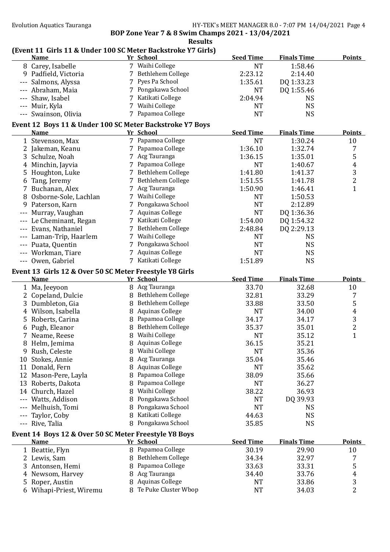# **(Event 11 Girls 11 & Under 100 SC Meter Backstroke Y7 Girls)**

| <b>Name</b>                                              |   | Yr School              | <b>Seed Time</b> | <b>Finals Time</b> | <b>Points</b>    |
|----------------------------------------------------------|---|------------------------|------------------|--------------------|------------------|
| 8 Carey, Isabelle                                        |   | 7 Waihi College        | <b>NT</b>        | 1:58.46            |                  |
| 9 Padfield, Victoria                                     |   | 7 Bethlehem College    | 2:23.12          | 2:14.40            |                  |
| --- Salmons, Alyssa                                      |   | 7 Pyes Pa School       | 1:35.61          | DQ 1:33.23         |                  |
| --- Abraham, Maia                                        |   | 7 Pongakawa School     | <b>NT</b>        | DQ 1:55.46         |                  |
| --- Shaw, Isabel                                         |   | 7 Katikati College     | 2:04.94          | <b>NS</b>          |                  |
| --- Muir, Kyla                                           |   | 7 Waihi College        | <b>NT</b>        | <b>NS</b>          |                  |
| --- Swainson, Olivia                                     |   | 7 Papamoa College      | <b>NT</b>        | <b>NS</b>          |                  |
|                                                          |   |                        |                  |                    |                  |
| Event 12 Boys 11 & Under 100 SC Meter Backstroke Y7 Boys |   |                        |                  |                    |                  |
| <b>Name</b>                                              |   | Yr School              | <b>Seed Time</b> | <b>Finals Time</b> | <b>Points</b>    |
| 1 Stevenson, Max                                         |   | 7 Papamoa College      | <b>NT</b>        | 1:30.24            | 10               |
| 2 Jakeman, Keanu                                         |   | 7 Papamoa College      | 1:36.10          | 1:32.74            | 7                |
| 3 Schulze, Noah                                          |   | 7 Acg Tauranga         | 1:36.15          | 1:35.01            | 5                |
| 4 Minchin, Jayvia                                        |   | 7 Papamoa College      | <b>NT</b>        | 1:40.67            | $\boldsymbol{4}$ |
| 5 Houghton, Luke                                         |   | 7 Bethlehem College    | 1:41.80          | 1:41.37            | 3                |
| 6 Tang, Jeremy                                           |   | 7 Bethlehem College    | 1:51.55          | 1:41.78            | $\overline{c}$   |
| 7 Buchanan, Alex                                         |   | 7 Acg Tauranga         | 1:50.90          | 1:46.41            | $\mathbf{1}$     |
| 8 Osborne-Sole, Lachlan                                  |   | 7 Waihi College        | <b>NT</b>        | 1:50.53            |                  |
| 9 Paterson, Karn                                         |   | 7 Pongakawa School     | <b>NT</b>        | 2:12.89            |                  |
| --- Murray, Vaughan                                      |   | 7 Aquinas College      | <b>NT</b>        | DQ 1:36.36         |                  |
| --- Le Cheminant, Regan                                  |   | 7 Katikati College     | 1:54.00          | DQ 1:54.32         |                  |
| --- Evans, Nathaniel                                     |   | 7 Bethlehem College    | 2:48.84          | DQ 2:29.13         |                  |
| --- Laman-Trip, Haarlem                                  |   | 7 Waihi College        | <b>NT</b>        | <b>NS</b>          |                  |
| Puata, Quentin                                           |   | 7 Pongakawa School     | <b>NT</b>        | <b>NS</b>          |                  |
| --- Workman, Tiare                                       |   | 7 Aquinas College      | <b>NT</b>        | <b>NS</b>          |                  |
|                                                          |   | 7 Katikati College     | 1:51.89          | <b>NS</b>          |                  |
| --- Owen, Gabriel                                        |   |                        |                  |                    |                  |
| Event 13 Girls 12 & Over 50 SC Meter Freestyle Y8 Girls  |   |                        |                  |                    |                  |
| <b>Name</b>                                              |   | Yr_School              | <b>Seed Time</b> | <b>Finals Time</b> | <b>Points</b>    |
| 1 Ma, Jeeyoon                                            |   | 8 Acg Tauranga         | 33.70            | 32.68              | 10               |
| 2 Copeland, Dulcie                                       |   | 8 Bethlehem College    | 32.81            | 33.29              | 7                |
| 3 Dumbleton, Gia                                         | 8 | Bethlehem College      | 33.88            | 33.50              | 5                |
| 4 Wilson, Isabella                                       | 8 | <b>Aquinas College</b> | <b>NT</b>        | 34.00              | $\pmb{4}$        |
| 5 Roberts, Carina                                        |   | 8 Papamoa College      | 34.17            | 34.17              | $\overline{3}$   |
| 6 Pugh, Eleanor                                          | 8 | Bethlehem College      | 35.37            | 35.01              | $\overline{c}$   |
| 7 Neame, Reese                                           | 8 | Waihi College          | <b>NT</b>        | 35.12              | $\mathbf{1}$     |
| 8 Helm, Jemima                                           |   | 8 Aquinas College      | 36.15            | 35.21              |                  |
| 9 Rush, Celeste                                          | ୪ | Waihi College          | <b>NT</b>        | 35.36              |                  |
| 10 Stokes, Annie                                         | 8 | Acg Tauranga           | 35.04            | 35.46              |                  |
| 11 Donald, Fern                                          | 8 | <b>Aquinas College</b> | <b>NT</b>        | 35.62              |                  |
| 12 Mason-Pere, Layla                                     | 8 | Papamoa College        | 38.09            | 35.66              |                  |
| 13 Roberts, Dakota                                       | 8 | Papamoa College        | <b>NT</b>        | 36.27              |                  |
| 14 Church, Hazel                                         | 8 | Waihi College          | 38.22            | 36.93              |                  |
| --- Watts, Addison                                       | 8 | Pongakawa School       | NT               | DQ 39.93           |                  |
| Melhuish, Tomi                                           | 8 | Pongakawa School       | <b>NT</b>        | <b>NS</b>          |                  |
| Taylor, Coby                                             | 8 | Katikati College       | 44.63            | <b>NS</b>          |                  |
| --- Rive, Talia                                          | 8 | Pongakawa School       | 35.85            | <b>NS</b>          |                  |
|                                                          |   |                        |                  |                    |                  |
| Event 14 Boys 12 & Over 50 SC Meter Freestyle Y8 Boys    |   |                        |                  |                    |                  |
| <b>Name</b>                                              |   | Yr School              | <b>Seed Time</b> | <b>Finals Time</b> | <b>Points</b>    |
| 1 Beattie, Flyn                                          |   | 8 Papamoa College      | 30.19            | 29.90              | 10               |
| 2 Lewis, Sam                                             |   | Bethlehem College      | 34.34            | 32.97              | 7                |
| 3 Antonsen, Hemi                                         | 8 | Papamoa College        | 33.63            | 33.31              | 5                |
|                                                          |   | Acg Tauranga           | 34.40            | 33.76              | 4                |
| 4 Newsom, Harvey                                         | 8 |                        |                  |                    |                  |
| 5 Roper, Austin                                          | 8 | <b>Aquinas College</b> | NT               | 33.86              | 3                |
| 6 Wihapi-Priest, Wiremu                                  |   | 8 Te Puke Cluster Wbop | <b>NT</b>        | 34.03              | 2                |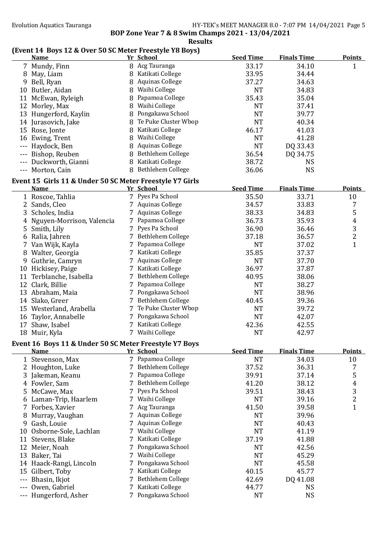#### **Results (Event 14 Boys 12 & Over 50 SC Meter Freestyle Y8 Boys)**

|         | <b>Name</b>                                                             |   | Yr School              | <b>Seed Time</b> | <b>Finals Time</b> | <b>Points</b>  |
|---------|-------------------------------------------------------------------------|---|------------------------|------------------|--------------------|----------------|
|         | 7 Mundy, Finn                                                           |   | 8 Acg Tauranga         | 33.17            | 34.10              | $\mathbf{1}$   |
|         | 8 May, Liam                                                             |   | 8 Katikati College     | 33.95            | 34.44              |                |
|         | 9 Bell, Ryan                                                            | 8 | <b>Aquinas College</b> | 37.27            | 34.63              |                |
|         | 10 Butler, Aidan                                                        | 8 | Waihi College          | <b>NT</b>        | 34.83              |                |
|         | 11 McEwan, Ryleigh                                                      | 8 | Papamoa College        | 35.43            | 35.04              |                |
|         | 12 Morley, Max                                                          | 8 | Waihi College          | <b>NT</b>        | 37.41              |                |
|         | 13 Hungerford, Kaylin                                                   | 8 | Pongakawa School       | <b>NT</b>        | 39.77              |                |
|         | 14 Jurasovich, Jake                                                     | 8 | Te Puke Cluster Wbop   | <b>NT</b>        | 40.34              |                |
|         | 15 Rose, Jonte                                                          |   | 8 Katikati College     | 46.17            | 41.03              |                |
|         | 16 Ewing, Trent                                                         |   | 8 Waihi College        | <b>NT</b>        | 41.28              |                |
|         | --- Haydock, Ben                                                        | 8 | <b>Aquinas College</b> | <b>NT</b>        | DQ 33.43           |                |
|         | --- Bishop, Reuben                                                      |   | 8 Bethlehem College    | 36.54            | DQ 34.75           |                |
|         | --- Duckworth, Gianni                                                   |   | 8 Katikati College     | 38.72            | <b>NS</b>          |                |
|         | --- Morton, Cain                                                        |   | 8 Bethlehem College    | 36.06            | <b>NS</b>          |                |
|         |                                                                         |   |                        |                  |                    |                |
|         | Event 15 Girls 11 & Under 50 SC Meter Freestyle Y7 Girls<br><b>Name</b> |   | Yr School              | <b>Seed Time</b> | <b>Finals Time</b> | <b>Points</b>  |
|         | 1 Roscoe, Tahlia                                                        |   | 7 Pyes Pa School       | 35.50            | 33.71              | 10             |
|         |                                                                         |   | 7 Aquinas College      | 34.57            | 33.83              |                |
|         | 2 Sands, Cleo                                                           |   | 7 Aquinas College      |                  |                    | 7              |
|         | 3 Scholes, India                                                        |   |                        | 38.33            | 34.83              | 5              |
|         | 4 Nguyen-Morrison, Valencia                                             |   | 7 Papamoa College      | 36.73            | 35.93              | 4              |
|         | 5 Smith, Lily                                                           |   | 7 Pyes Pa School       | 36.90            | 36.46              | 3              |
|         | 6 Ralia, Jahren                                                         |   | 7 Bethlehem College    | 37.18            | 36.57              | 2              |
|         | 7 Van Wijk, Kayla                                                       |   | 7 Papamoa College      | <b>NT</b>        | 37.02              | $\mathbf{1}$   |
|         | 8 Walter, Georgia                                                       |   | 7 Katikati College     | 35.85            | 37.37              |                |
|         | 9 Guthrie, Camryn                                                       |   | 7 Aquinas College      | <b>NT</b>        | 37.70              |                |
|         | 10 Hickisey, Paige                                                      |   | 7 Katikati College     | 36.97            | 37.87              |                |
|         | 11 Terblanche, Isabella                                                 |   | 7 Bethlehem College    | 40.95            | 38.06              |                |
|         | 12 Clark, Billie                                                        |   | 7 Papamoa College      | <b>NT</b>        | 38.27              |                |
|         | 13 Abraham, Maia                                                        |   | 7 Pongakawa School     | <b>NT</b>        | 38.96              |                |
|         | 14 Slako, Greer                                                         |   | 7 Bethlehem College    | 40.45            | 39.36              |                |
|         | 15 Westerland, Arabella                                                 |   | 7 Te Puke Cluster Wbop | <b>NT</b>        | 39.72              |                |
|         | 16 Taylor, Annabelle                                                    |   | 7 Pongakawa School     | <b>NT</b>        | 42.07              |                |
|         | 17 Shaw, Isabel                                                         |   | 7 Katikati College     | 42.36            | 42.55              |                |
|         | 18 Muir, Kyla                                                           |   | 7 Waihi College        | <b>NT</b>        | 42.97              |                |
|         | Event 16 Boys 11 & Under 50 SC Meter Freestyle Y7 Boys                  |   |                        |                  |                    |                |
|         | <b>Name</b>                                                             |   | Yr School              | <b>Seed Time</b> | <b>Finals Time</b> | <b>Points</b>  |
|         | 1 Stevenson, Max                                                        |   | 7 Papamoa College      | <b>NT</b>        | 34.03              | 10             |
|         | 2 Houghton, Luke                                                        | 7 | Bethlehem College      | 37.52            | 36.31              | 7              |
|         | 3 Jakeman, Keanu                                                        | 7 | Papamoa College        | 39.91            | 37.14              | 5              |
|         | 4 Fowler, Sam                                                           |   | Bethlehem College      | 41.20            | 38.12              | $\overline{4}$ |
| 5       | McCawe, Max                                                             |   | Pyes Pa School         | 39.51            | 38.43              | 3              |
|         | 6 Laman-Trip, Haarlem                                                   |   | Waihi College          | <b>NT</b>        | 39.16              | 2              |
|         | 7 Forbes, Xavier                                                        |   | 7 Acg Tauranga         | 41.50            | 39.58              | $\mathbf{1}$   |
|         | Murray, Vaughan                                                         |   | <b>Aquinas College</b> | <b>NT</b>        | 39.96              |                |
|         | 9 Gash, Louie                                                           |   | <b>Aquinas College</b> | <b>NT</b>        | 40.43              |                |
|         | 10 Osborne-Sole, Lachlan                                                |   | Waihi College          | <b>NT</b>        | 41.19              |                |
|         | 11 Stevens, Blake                                                       |   | Katikati College       | 37.19            | 41.88              |                |
|         | 12 Meier, Noah                                                          |   | Pongakawa School       | <b>NT</b>        | 42.56              |                |
|         | 13 Baker, Tai                                                           |   | Waihi College          | <b>NT</b>        | 45.29              |                |
|         | 14 Haack-Rangi, Lincoln                                                 |   | Pongakawa School       | <b>NT</b>        | 45.58              |                |
| 15      | Gilbert, Toby                                                           |   | Katikati College       | 40.15            | 45.77              |                |
| $- - -$ | Bhasin, Ikjot                                                           |   | Bethlehem College      | 42.69            | DQ 41.08           |                |
|         | Owen, Gabriel                                                           |   | Katikati College       | 44.77            | <b>NS</b>          |                |
| ---     | Hungerford, Asher                                                       |   | 7 Pongakawa School     | <b>NT</b>        | <b>NS</b>          |                |
|         |                                                                         |   |                        |                  |                    |                |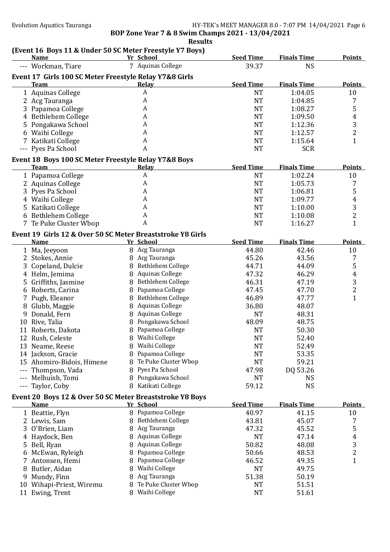**BOP Zone Year 7 & 8 Swim Champs 2021 - 13/04/2021 Results**

# **(Event 16 Boys 11 & Under 50 SC Meter Freestyle Y7 Boys)**<br>Name Yr School

|               | <b>Name</b>                                                |   | Yr School                   | <b>Seed Time</b>       | <b>Finals Time</b> | <b>Points</b>  |
|---------------|------------------------------------------------------------|---|-----------------------------|------------------------|--------------------|----------------|
|               | --- Workman, Tiare                                         |   | 7 Aquinas College           | 39.37                  | <b>NS</b>          |                |
|               | Event 17 Girls 100 SC Meter Freestyle Relay Y7&8 Girls     |   |                             |                        |                    |                |
|               | <b>Team</b>                                                |   | Relay                       | <b>Seed Time</b>       | <b>Finals Time</b> | <b>Points</b>  |
|               | 1 Aquinas College                                          |   | $\boldsymbol{A}$            | <b>NT</b>              | 1:04.05            | 10             |
|               | 2 Acg Tauranga                                             |   | $\boldsymbol{A}$            | <b>NT</b>              | 1:04.85            | 7              |
|               | 3 Papamoa College                                          |   | A                           | <b>NT</b>              | 1:08.27            | $\mathsf S$    |
|               | 4 Bethlehem College                                        |   | A                           | <b>NT</b>              | 1:09.50            | $\overline{4}$ |
|               | 5 Pongakawa School                                         |   | A                           | <b>NT</b>              | 1:12.36            | $\sqrt{3}$     |
|               | 6 Waihi College                                            |   | A                           | <b>NT</b>              | 1:12.57            | $\overline{2}$ |
|               | 7 Katikati College                                         |   | $\boldsymbol{A}$            | <b>NT</b>              | 1:15.64            | $\mathbf{1}$   |
|               | --- Pyes Pa School                                         |   | A                           | <b>NT</b>              | <b>SCR</b>         |                |
|               | Event 18 Boys 100 SC Meter Freestyle Relay Y7&8 Boys       |   |                             |                        |                    |                |
|               | <b>Team</b>                                                |   | <b>Relay</b>                | <b>Seed Time</b>       | <b>Finals Time</b> | <b>Points</b>  |
|               | 1 Papamoa College                                          |   | $\boldsymbol{A}$            | <b>NT</b>              | 1:02.24            | 10             |
|               | 2 Aquinas College                                          |   | A                           | <b>NT</b>              | 1:05.73            | 7              |
|               | 3 Pyes Pa School                                           |   | A                           | <b>NT</b>              | 1:06.81            | 5              |
|               | 4 Waihi College                                            |   | A                           | <b>NT</b>              | 1:09.77            | $\overline{4}$ |
|               | 5 Katikati College                                         |   | $\boldsymbol{A}$            | <b>NT</b>              | 1:10.00            | $\overline{3}$ |
|               | 6 Bethlehem College                                        |   | A                           | <b>NT</b>              | 1:10.08            | $\overline{2}$ |
|               | 7 Te Puke Cluster Wbop                                     |   | $\boldsymbol{A}$            | <b>NT</b>              | 1:16.27            | $\mathbf{1}$   |
|               |                                                            |   |                             |                        |                    |                |
|               | Event 19 Girls 12 & Over 50 SC Meter Breaststroke Y8 Girls |   |                             | <b>Seed Time</b>       |                    |                |
|               | <b>Name</b>                                                |   | Yr School<br>8 Acg Tauranga |                        | <b>Finals Time</b> | <b>Points</b>  |
|               | 1 Ma, Jeeyoon<br>2 Stokes, Annie                           |   | 8 Acg Tauranga              | 44.80<br>45.26         | 42.46<br>43.56     | 10             |
|               |                                                            |   | 8 Bethlehem College         | 44.71                  |                    | 7<br>5         |
|               | 3 Copeland, Dulcie<br>4 Helm, Jemima                       |   | 8 Aquinas College           | 47.32                  | 44.09<br>46.29     | $\overline{4}$ |
|               | 5 Griffiths, Jasmine                                       |   | 8 Bethlehem College         | 46.31                  | 47.19              | $\sqrt{3}$     |
|               | 6 Roberts, Carina                                          |   | 8 Papamoa College           | 47.45                  | 47.70              | $\overline{c}$ |
|               | 7 Pugh, Eleanor                                            |   | 8 Bethlehem College         | 46.89                  | 47.77              | $\mathbf{1}$   |
|               |                                                            |   | 8 Aquinas College           | 36.80                  | 48.07              |                |
|               | 8 Glubb, Maggie                                            |   | 8 Aquinas College           | <b>NT</b>              | 48.31              |                |
|               | 9 Donald, Fern                                             |   | 8 Pongakawa School          | 48.09                  | 48.75              |                |
|               | 10 Rive, Talia                                             |   | 8 Papamoa College           | <b>NT</b>              | 50.30              |                |
|               | 11 Roberts, Dakota                                         |   | 8 Waihi College             | <b>NT</b>              | 52.40              |                |
|               | 12 Rush, Celeste<br>13 Neame, Reese                        |   | 8 Waihi College             | <b>NT</b>              | 52.49              |                |
|               |                                                            |   | 8 Papamoa College           |                        |                    |                |
|               | 14 Jackson, Gracie<br>15 Ahomiro-Bidois, Himene            |   | 8 Te Puke Cluster Wbop      | <b>NT</b><br><b>NT</b> | 53.35<br>59.21     |                |
|               | Thompson, Vada                                             | 8 | Pyes Pa School              | 47.98                  | DQ 53.26           |                |
|               | Melhuish, Tomi                                             |   | 8 Pongakawa School          | <b>NT</b>              | <sub>NS</sub>      |                |
|               | --- Taylor, Coby                                           |   | 8 Katikati College          | 59.12                  | <b>NS</b>          |                |
|               |                                                            |   |                             |                        |                    |                |
|               | Event 20 Boys 12 & Over 50 SC Meter Breaststroke Y8 Boys   |   |                             |                        |                    |                |
|               | <b>Name</b>                                                |   | Yr School                   | <b>Seed Time</b>       | <b>Finals Time</b> | <b>Points</b>  |
|               | 1 Beattie, Flyn                                            |   | 8 Papamoa College           | 40.97                  | 41.15              | 10             |
|               | 2 Lewis, Sam                                               |   | 8 Bethlehem College         | 43.81                  | 45.07              | 7              |
|               | 3 O'Brien, Liam                                            |   | 8 Acg Tauranga              | 47.32                  | 45.52              | 5              |
|               | 4 Haydock, Ben                                             |   | 8 Aquinas College           | <b>NT</b>              | 47.14              | 4              |
|               | 5 Bell, Ryan                                               |   | 8 Aquinas College           | 50.82                  | 48.08              | 3              |
|               | 6 McEwan, Ryleigh                                          |   | 8 Papamoa College           | 50.66                  | 48.53              | $\overline{c}$ |
| $\mathcal{L}$ | Antonsen, Hemi                                             |   | 8 Papamoa College           | 46.52                  | 49.35              | $\mathbf{1}$   |
|               | 8 Butler, Aidan                                            |   | 8 Waihi College             | <b>NT</b>              | 49.75              |                |
|               | 9 Mundy, Finn                                              |   | 8 Acg Tauranga              | 51.38                  | 50.19              |                |
|               | 10 Wihapi-Priest, Wiremu                                   |   | 8 Te Puke Cluster Wbop      | <b>NT</b>              | 51.51              |                |
|               | 11 Ewing, Trent                                            |   | 8 Waihi College             | <b>NT</b>              | 51.61              |                |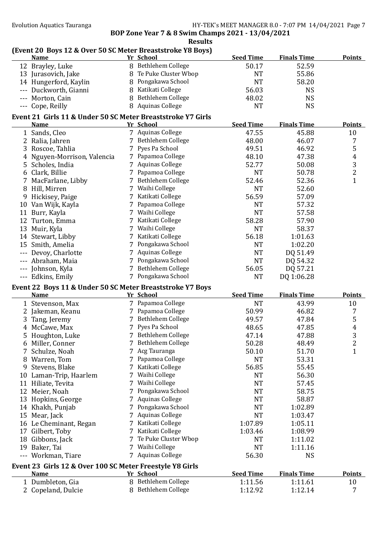## **(Event 20 Boys 12 & Over 50 SC Meter Breaststroke Y8 Boys)**

| <b>Name</b>                                                              |    | Yr School              | <b>Seed Time</b> | <b>Finals Time</b> | <b>Points</b>  |
|--------------------------------------------------------------------------|----|------------------------|------------------|--------------------|----------------|
| 12 Brayley, Luke                                                         |    | 8 Bethlehem College    | 50.17            | 52.59              |                |
| 13 Jurasovich, Jake                                                      |    | 8 Te Puke Cluster Wbop | <b>NT</b>        | 55.86              |                |
| 14 Hungerford, Kaylin                                                    |    | 8 Pongakawa School     | <b>NT</b>        | 58.20              |                |
| --- Duckworth, Gianni                                                    |    | 8 Katikati College     | 56.03            | <b>NS</b>          |                |
| --- Morton, Cain                                                         | 8  | Bethlehem College      | 48.02            | <b>NS</b>          |                |
| --- Cope, Reilly                                                         |    | 8 Aquinas College      | <b>NT</b>        | <b>NS</b>          |                |
| Event 21 Girls 11 & Under 50 SC Meter Breaststroke Y7 Girls              |    |                        |                  |                    |                |
| <b>Name</b>                                                              |    | Yr School              | <b>Seed Time</b> | <b>Finals Time</b> | <b>Points</b>  |
| 1 Sands, Cleo                                                            |    | 7 Aquinas College      | 47.55            | 45.88              | 10             |
| 2 Ralia, Jahren                                                          |    | 7 Bethlehem College    | 48.00            | 46.07              | 7              |
| 3 Roscoe, Tahlia                                                         |    | 7 Pyes Pa School       | 49.51            | 46.92              | 5              |
| 4 Nguyen-Morrison, Valencia                                              |    | 7 Papamoa College      | 48.10            | 47.38              | $\overline{4}$ |
| 5 Scholes, India                                                         |    | 7 Aquinas College      | 52.77            | 50.08              | 3              |
| 6 Clark, Billie                                                          |    | 7 Papamoa College      | <b>NT</b>        | 50.78              | $\overline{c}$ |
| 7 MacFarlane, Libby                                                      |    | 7 Bethlehem College    | 52.46            | 52.36              | $\mathbf{1}$   |
| 8 Hill, Mirren                                                           |    | 7 Waihi College        | <b>NT</b>        | 52.60              |                |
| 9 Hickisey, Paige                                                        |    | 7 Katikati College     | 56.59            | 57.09              |                |
| 10 Van Wijk, Kayla                                                       |    | 7 Papamoa College      | <b>NT</b>        | 57.32              |                |
| 11 Burr, Kayla                                                           |    | 7 Waihi College        | <b>NT</b>        | 57.58              |                |
| 12 Turton, Emma                                                          |    | 7 Katikati College     | 58.28            | 57.90              |                |
| 13 Muir, Kyla                                                            |    | 7 Waihi College        | <b>NT</b>        | 58.37              |                |
| 14 Stewart, Libby                                                        |    | 7 Katikati College     | 56.18            | 1:01.63            |                |
| 15 Smith, Amelia                                                         |    | 7 Pongakawa School     | <b>NT</b>        | 1:02.20            |                |
| Devoy, Charlotte                                                         |    | 7 Aquinas College      | <b>NT</b>        | DQ 51.49           |                |
| --- Abraham, Maia                                                        |    | 7 Pongakawa School     | <b>NT</b>        | DQ 54.32           |                |
| --- Johnson, Kyla                                                        |    | 7 Bethlehem College    | 56.05            | DQ 57.21           |                |
| --- Edkins, Emily                                                        |    | 7 Pongakawa School     | <b>NT</b>        | DQ 1:06.28         |                |
|                                                                          |    |                        |                  |                    |                |
| Event 22 Boys 11 & Under 50 SC Meter Breaststroke Y7 Boys<br><b>Name</b> |    | Yr School              | <b>Seed Time</b> | <b>Finals Time</b> | <b>Points</b>  |
| 1 Stevenson, Max                                                         |    | 7 Papamoa College      | <b>NT</b>        | 43.99              | 10             |
| 2 Jakeman, Keanu                                                         |    | 7 Papamoa College      | 50.99            | 46.82              | 7              |
| 3 Tang, Jeremy                                                           |    | 7 Bethlehem College    | 49.57            | 47.84              | 5              |
| 4 McCawe, Max                                                            |    | 7 Pyes Pa School       | 48.65            | 47.85              | 4              |
| 5 Houghton, Luke                                                         |    | 7 Bethlehem College    | 47.14            | 47.88              | 3              |
| 6 Miller, Conner                                                         |    | 7 Bethlehem College    | 50.28            | 48.49              | $\overline{2}$ |
| Schulze, Noah                                                            |    | 7 Acg Tauranga         | 50.10            | 51.70              | 1              |
| 8 Warren, Tom                                                            |    | 7 Papamoa College      | <b>NT</b>        | 53.31              |                |
| 9 Stevens, Blake                                                         |    | 7 Katikati College     | 56.85            | 55.45              |                |
| 10 Laman-Trip, Haarlem                                                   |    | 7 Waihi College        | <b>NT</b>        | 56.30              |                |
| 11 Hiliate, Tevita                                                       |    | 7 Waihi College        | <b>NT</b>        | 57.45              |                |
| 12 Meier, Noah                                                           | 7. | Pongakawa School       | <b>NT</b>        | 58.75              |                |
| 13 Hopkins, George                                                       |    | <b>Aquinas College</b> | <b>NT</b>        | 58.87              |                |
| 14 Khakh, Punjab                                                         |    | Pongakawa School       | <b>NT</b>        | 1:02.89            |                |
| 15 Mear, Jack                                                            | 7  | <b>Aquinas College</b> | <b>NT</b>        | 1:03.47            |                |
| 16 Le Cheminant, Regan                                                   |    | Katikati College       | 1:07.89          | 1:05.11            |                |
| 17 Gilbert, Toby                                                         | 7  | Katikati College       | 1:03.46          | 1:08.99            |                |
| 18 Gibbons, Jack                                                         |    | 7 Te Puke Cluster Wbop | <b>NT</b>        | 1:11.02            |                |
| 19 Baker, Tai                                                            |    | 7 Waihi College        | <b>NT</b>        | 1:11.16            |                |
| --- Workman, Tiare                                                       |    | 7 Aquinas College      | 56.30            | <b>NS</b>          |                |
|                                                                          |    |                        |                  |                    |                |
| Event 23 Girls 12 & Over 100 SC Meter Freestyle Y8 Girls                 |    |                        |                  |                    |                |
| <b>Name</b>                                                              |    | Yr School              | <b>Seed Time</b> | <b>Finals Time</b> | <b>Points</b>  |
| 1 Dumbleton, Gia                                                         |    | 8 Bethlehem College    | 1:11.56          | 1:11.61            | 10             |
| 2 Copeland, Dulcie                                                       |    | 8 Bethlehem College    | 1:12.92          | 1:12.14            | 7              |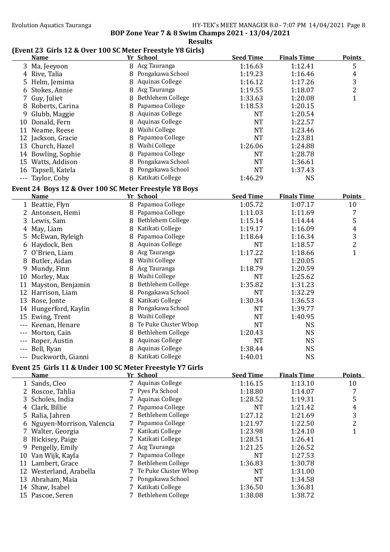#### **(Event 23 Girls 12 & Over 100 SC Meter Freestyle Y8 Girls)**

|   | <b>Name</b>                                               |   | <b>Yr School</b>       | <b>Seed Time</b> | <b>Finals Time</b> | <b>Points</b>  |
|---|-----------------------------------------------------------|---|------------------------|------------------|--------------------|----------------|
|   | 3 Ma, Jeeyoon                                             |   | 8 Acg Tauranga         | 1:16.63          | 1:12.41            | 5              |
|   | 4 Rive, Talia                                             |   | 8 Pongakawa School     | 1:19.23          | 1:16.46            | 4              |
|   | 5 Helm, Jemima                                            | 8 | <b>Aquinas College</b> | 1:16.12          | 1:17.26            | 3              |
|   | 6 Stokes, Annie                                           |   | 8 Acg Tauranga         | 1:19.55          | 1:18.07            | $\overline{2}$ |
|   | 7 Guy, Juliet                                             |   | 8 Bethlehem College    | 1:33.63          | 1:20.08            | $\mathbf{1}$   |
|   | 8 Roberts, Carina                                         |   | 8 Papamoa College      | 1:18.53          | 1:20.15            |                |
|   | 9 Glubb, Maggie                                           | 8 | <b>Aquinas College</b> | <b>NT</b>        | 1:20.54            |                |
|   | 10 Donald, Fern                                           |   | 8 Aquinas College      | <b>NT</b>        | 1:22.57            |                |
|   | 11 Neame, Reese                                           | 8 | Waihi College          | <b>NT</b>        | 1:23.46            |                |
|   | 12 Jackson, Gracie                                        |   | 8 Papamoa College      | <b>NT</b>        | 1:23.81            |                |
|   | 13 Church, Hazel                                          |   | 8 Waihi College        | 1:26.06          | 1:24.88            |                |
|   | 14 Bowling, Sophie                                        | 8 | Papamoa College        | <b>NT</b>        | 1:28.78            |                |
|   | 15 Watts, Addison                                         |   | 8 Pongakawa School     | <b>NT</b>        | 1:36.61            |                |
|   | 16 Tapsell, Katela                                        | 8 | Pongakawa School       | <b>NT</b>        | 1:37.43            |                |
|   | --- Taylor, Coby                                          |   | 8 Katikati College     | 1:46.29          | <b>NS</b>          |                |
|   | Event 24 Boys 12 & Over 100 SC Meter Freestyle Y8 Boys    |   |                        |                  |                    |                |
|   | <b>Name</b>                                               |   | Yr School              | <b>Seed Time</b> | <b>Finals Time</b> | <b>Points</b>  |
|   | 1 Beattie, Flyn                                           |   | 8 Papamoa College      | 1:05.72          | 1:07.17            | 10             |
|   |                                                           |   | 8 Papamoa College      |                  |                    |                |
|   | 2 Antonsen, Hemi                                          |   | 8 Bethlehem College    | 1:11.03          | 1:11.69            | 7              |
|   | 3 Lewis, Sam                                              |   | 8 Katikati College     | 1:15.14          | 1:14.44            | 5              |
|   | 4 May, Liam                                               |   |                        | 1:19.17          | 1:16.09            | $\pmb{4}$      |
|   | 5 McEwan, Ryleigh                                         |   | 8 Papamoa College      | 1:18.64          | 1:16.34            | 3              |
|   | 6 Haydock, Ben                                            |   | 8 Aquinas College      | <b>NT</b>        | 1:18.57            | $\overline{2}$ |
| 7 | O'Brien, Liam                                             | 8 | Acg Tauranga           | 1:17.22          | 1:18.66            | $\mathbf{1}$   |
|   | 8 Butler, Aidan                                           |   | 8 Waihi College        | <b>NT</b>        | 1:20.05            |                |
| 9 | Mundy, Finn                                               | 8 | Acg Tauranga           | 1:18.79          | 1:20.59            |                |
|   | 10 Morley, Max                                            | 8 | Waihi College          | <b>NT</b>        | 1:25.62            |                |
|   | 11 Mayston, Benjamin                                      | 8 | Bethlehem College      | 1:35.82          | 1:31.23            |                |
|   | 12 Harrison, Liam                                         | 8 | Pongakawa School       | <b>NT</b>        | 1:32.29            |                |
|   | 13 Rose, Jonte                                            | 8 | Katikati College       | 1:30.34          | 1:36.53            |                |
|   | 14 Hungerford, Kaylin                                     | 8 | Pongakawa School       | <b>NT</b>        | 1:39.77            |                |
|   | 15 Ewing, Trent                                           |   | 8 Waihi College        | <b>NT</b>        | 1:40.95            |                |
|   | --- Keenan, Henare                                        |   | 8 Te Puke Cluster Wbop | <b>NT</b>        | <b>NS</b>          |                |
|   | --- Morton, Cain                                          |   | 8 Bethlehem College    | 1:20.43          | <b>NS</b>          |                |
|   | --- Roper, Austin                                         |   | 8 Aquinas College      | <b>NT</b>        | <b>NS</b>          |                |
|   | --- Bell, Ryan                                            |   | 8 Aquinas College      | 1:38.44          | <b>NS</b>          |                |
|   | --- Duckworth, Gianni                                     |   | 8 Katikati College     | 1:40.01          | <b>NS</b>          |                |
|   | Event 25 Girls 11 & Under 100 SC Meter Freestyle Y7 Girls |   |                        |                  |                    |                |
|   | <b>Name</b>                                               |   | Yr School              | <b>Seed Time</b> | <b>Finals Time</b> | <b>Points</b>  |
|   | 1 Sands, Cleo                                             |   | 7 Aquinas College      | 1:16.15          | 1:13.10            | 10             |
|   | 2 Roscoe, Tahlia                                          |   | 7 Pyes Pa School       | 1:18.80          | 1:14.07            | 7              |
|   | 3 Scholes, India                                          |   | 7 Aquinas College      | 1:28.52          | 1:19.31            | 5              |
|   | 4 Clark, Billie                                           |   | 7 Papamoa College      | <b>NT</b>        | 1:21.42            | 4              |
|   | 5 Ralia, Jahren                                           |   | 7 Bethlehem College    | 1:27.12          | 1:21.69            | 3              |
| 6 | Nguyen-Morrison, Valencia                                 |   | 7 Papamoa College      | 1:21.97          | 1:22.50            | $\overline{2}$ |
|   | 7 Walter, Georgia                                         |   | 7 Katikati College     | 1:23.98          | 1:24.10            | $\mathbf{1}$   |
| 8 | Hickisey, Paige                                           |   | 7 Katikati College     | 1:28.51          | 1:26.41            |                |
| 9 | Pengelly, Emily                                           |   | 7 Acg Tauranga         | 1:21.25          | 1:26.52            |                |
|   | 10 Van Wijk, Kayla                                        |   | 7 Papamoa College      | <b>NT</b>        | 1:27.53            |                |
|   | 11 Lambert, Grace                                         |   | 7 Bethlehem College    | 1:36.83          | 1:30.78            |                |
|   | 12 Westerland, Arabella                                   |   | 7 Te Puke Cluster Wbop | <b>NT</b>        | 1:31.00            |                |
|   | 13 Abraham, Maia                                          |   | Pongakawa School       | <b>NT</b>        | 1:34.58            |                |
|   | 14 Shaw, Isabel                                           |   | 7 Katikati College     | 1:36.50          | 1:36.81            |                |
|   | 15 Pascoe, Seren                                          |   | 7 Bethlehem College    | 1:38.08          | 1:38.72            |                |
|   |                                                           |   |                        |                  |                    |                |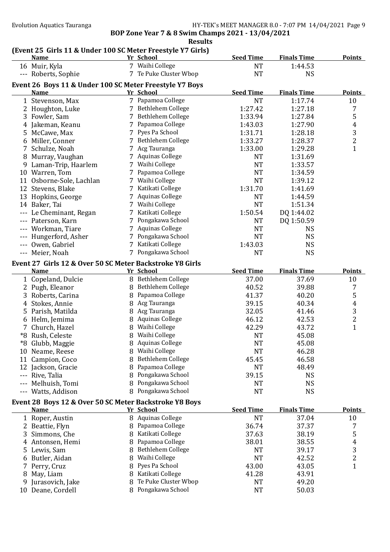#### **Results**

# **(Event 25 Girls 11 & Under 100 SC Meter Freestyle Y7 Girls)**

|     | <b>Name</b>                                              |   | Yr School              | <b>Seed Time</b> | <b>Finals Time</b> | <b>Points</b>    |
|-----|----------------------------------------------------------|---|------------------------|------------------|--------------------|------------------|
|     | 16 Muir, Kyla                                            |   | 7 Waihi College        | <b>NT</b>        | 1:44.53            |                  |
|     | --- Roberts, Sophie                                      |   | 7 Te Puke Cluster Wbop | <b>NT</b>        | <b>NS</b>          |                  |
|     | Event 26 Boys 11 & Under 100 SC Meter Freestyle Y7 Boys  |   |                        |                  |                    |                  |
|     | Name                                                     |   | Yr School              | <b>Seed Time</b> | <b>Finals Time</b> | <b>Points</b>    |
|     | 1 Stevenson, Max                                         |   | 7 Papamoa College      | <b>NT</b>        | 1:17.74            | 10               |
|     | 2 Houghton, Luke                                         |   | 7 Bethlehem College    | 1:27.42          | 1:27.18            | 7                |
|     | 3 Fowler, Sam                                            |   | 7 Bethlehem College    | 1:33.94          | 1:27.84            | 5                |
|     | 4 Jakeman, Keanu                                         |   | 7 Papamoa College      | 1:43.03          | 1:27.90            | $\boldsymbol{4}$ |
|     | 5 McCawe, Max                                            |   | 7 Pyes Pa School       | 1:31.71          | 1:28.18            | 3                |
|     | 6 Miller, Conner                                         |   | 7 Bethlehem College    | 1:33.27          | 1:28.37            | $\overline{c}$   |
|     | 7 Schulze, Noah                                          |   | 7 Acg Tauranga         | 1:33.00          | 1:29.28            | $\mathbf{1}$     |
|     | 8 Murray, Vaughan                                        |   | 7 Aquinas College      | <b>NT</b>        | 1:31.69            |                  |
|     | 9 Laman-Trip, Haarlem                                    |   | 7 Waihi College        | <b>NT</b>        | 1:33.57            |                  |
|     | 10 Warren, Tom                                           |   | 7 Papamoa College      | <b>NT</b>        | 1:34.59            |                  |
|     | 11 Osborne-Sole, Lachlan                                 |   | 7 Waihi College        | <b>NT</b>        | 1:39.12            |                  |
|     | 12 Stevens, Blake                                        |   | 7 Katikati College     | 1:31.70          | 1:41.69            |                  |
|     | 13 Hopkins, George                                       |   | 7 Aquinas College      | <b>NT</b>        | 1:44.59            |                  |
|     | 14 Baker, Tai                                            |   | 7 Waihi College        | <b>NT</b>        | 1:51.34            |                  |
|     | --- Le Cheminant, Regan                                  |   | 7 Katikati College     | 1:50.54          | DQ 1:44.02         |                  |
|     | --- Paterson, Karn                                       |   | 7 Pongakawa School     | <b>NT</b>        | DQ 1:50.59         |                  |
|     | --- Workman, Tiare                                       |   | 7 Aquinas College      | <b>NT</b>        | <b>NS</b>          |                  |
|     | --- Hungerford, Asher                                    |   | 7 Pongakawa School     | <b>NT</b>        | <b>NS</b>          |                  |
|     | --- Owen, Gabriel                                        |   | 7 Katikati College     | 1:43.03          | <b>NS</b>          |                  |
|     | --- Meier, Noah                                          |   | 7 Pongakawa School     | <b>NT</b>        | <b>NS</b>          |                  |
|     | Event 27 Girls 12 & Over 50 SC Meter Backstroke Y8 Girls |   |                        |                  |                    |                  |
|     | <b>Name</b>                                              |   | Yr School              | <b>Seed Time</b> | <b>Finals Time</b> | <b>Points</b>    |
|     | 1 Copeland, Dulcie                                       |   | 8 Bethlehem College    | 37.00            | 37.69              | 10               |
|     | 2 Pugh, Eleanor                                          |   | 8 Bethlehem College    | 40.52            | 39.88              | 7                |
|     | 3 Roberts, Carina                                        |   | 8 Papamoa College      | 41.37            | 40.20              | 5                |
|     | 4 Stokes, Annie                                          |   | 8 Acg Tauranga         | 39.15            | 40.34              | $\boldsymbol{4}$ |
|     | 5 Parish, Matilda                                        |   | 8 Acg Tauranga         | 32.05            | 41.46              | $\sqrt{3}$       |
|     | 6 Helm, Jemima                                           |   | 8 Aquinas College      | 46.12            | 42.53              | $\overline{2}$   |
|     | 7 Church, Hazel                                          |   | 8 Waihi College        | 42.29            | 43.72              | $\mathbf{1}$     |
|     | *8 Rush, Celeste                                         |   | 8 Waihi College        | <b>NT</b>        | 45.08              |                  |
|     | *8 Glubb, Maggie                                         |   | 8 Aquinas College      | <b>NT</b>        | 45.08              |                  |
|     | 10 Neame, Reese                                          |   | 8 Waihi College        | <b>NT</b>        | 46.28              |                  |
|     | 11 Campion, Coco                                         | 8 | Bethlehem College      | 45.45            | 46.58              |                  |
|     | 12 Jackson, Gracie                                       | 8 | Papamoa College        | <b>NT</b>        | 48.49              |                  |
| --- | Rive, Talia                                              |   | Pongakawa School       | 39.15            | <b>NS</b>          |                  |
|     | Melhuish, Tomi                                           |   | Pongakawa School       | <b>NT</b>        | <b>NS</b>          |                  |
|     | --- Watts, Addison                                       |   | 8 Pongakawa School     | <b>NT</b>        | <b>NS</b>          |                  |
|     | Event 28 Boys 12 & Over 50 SC Meter Backstroke Y8 Boys   |   |                        |                  |                    |                  |
|     | <b>Name</b>                                              |   | <b>Yr School</b>       | <b>Seed Time</b> | <b>Finals Time</b> | <b>Points</b>    |
|     | 1 Roper, Austin                                          |   | 8 Aquinas College      | <b>NT</b>        | 37.04              | 10               |
|     | 2 Beattie, Flyn                                          |   | 8 Papamoa College      | 36.74            | 37.37              | 7                |
|     | 3 Simmons, Che                                           |   | 8 Katikati College     | 37.63            | 38.19              | 5                |
|     | 4 Antonsen, Hemi                                         | 8 | Papamoa College        | 38.01            | 38.55              | $\boldsymbol{4}$ |
|     | 5 Lewis, Sam                                             |   | 8 Bethlehem College    | <b>NT</b>        | 39.17              | $\mathbf{3}$     |
|     | 6 Butler, Aidan                                          | 8 | Waihi College          | <b>NT</b>        | 42.52              | $\overline{2}$   |
|     | 7 Perry, Cruz                                            | 8 | Pyes Pa School         | 43.00            | 43.05              | $\mathbf{1}$     |
|     | 8 May, Liam                                              |   | 8 Katikati College     | 41.28            | 43.91              |                  |
| 9   | Jurasovich, Jake                                         |   | Te Puke Cluster Wbop   | <b>NT</b>        | 49.20              |                  |
|     | 10 Deane, Cordell                                        |   | 8 Pongakawa School     | <b>NT</b>        | 50.03              |                  |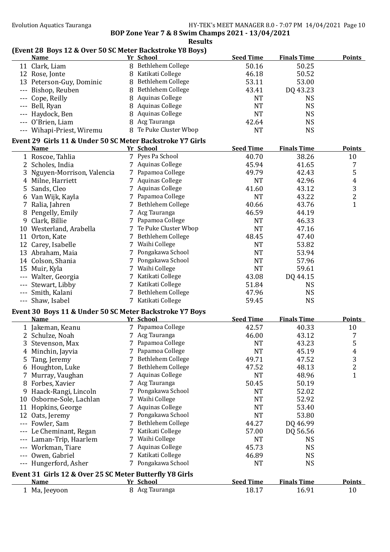## **(Event 28 Boys 12 & Over 50 SC Meter Backstroke Y8 Boys)**

|   | <b>Name</b>                                                              |    | Yr School              | <b>Seed Time</b> | <b>Finals Time</b> | <b>Points</b>           |
|---|--------------------------------------------------------------------------|----|------------------------|------------------|--------------------|-------------------------|
|   | 11 Clark, Liam                                                           |    | 8 Bethlehem College    | 50.16            | 50.25              |                         |
|   | 12 Rose, Jonte                                                           |    | 8 Katikati College     | 46.18            | 50.52              |                         |
|   | 13 Peterson-Guy, Dominic                                                 |    | 8 Bethlehem College    | 53.11            | 53.00              |                         |
|   | --- Bishop, Reuben                                                       |    | 8 Bethlehem College    | 43.41            | DQ 43.23           |                         |
|   | --- Cope, Reilly                                                         |    | 8 Aquinas College      | <b>NT</b>        | <b>NS</b>          |                         |
|   | --- Bell, Ryan                                                           |    | 8 Aquinas College      | <b>NT</b>        | <b>NS</b>          |                         |
|   | --- Haydock, Ben                                                         |    | 8 Aquinas College      | <b>NT</b>        | <b>NS</b>          |                         |
|   | --- O'Brien, Liam                                                        |    | 8 Acg Tauranga         | 42.64            | <b>NS</b>          |                         |
|   | --- Wihapi-Priest, Wiremu                                                |    | 8 Te Puke Cluster Wbop | <b>NT</b>        | <b>NS</b>          |                         |
|   |                                                                          |    |                        |                  |                    |                         |
|   | Event 29 Girls 11 & Under 50 SC Meter Backstroke Y7 Girls<br><b>Name</b> |    | Yr School              | <b>Seed Time</b> | <b>Finals Time</b> | <b>Points</b>           |
|   | 1 Roscoe, Tahlia                                                         |    | 7 Pyes Pa School       | 40.70            | 38.26              | 10                      |
|   | 2 Scholes, India                                                         |    | 7 Aquinas College      | 45.94            | 41.65              | 7                       |
|   |                                                                          |    | 7 Papamoa College      |                  |                    |                         |
|   | 3 Nguyen-Morrison, Valencia                                              |    |                        | 49.79            | 42.43              | 5                       |
|   | 4 Milne, Harriett                                                        |    | 7 Aquinas College      | <b>NT</b>        | 42.96              | $\overline{4}$          |
|   | 5 Sands, Cleo                                                            |    | 7 Aquinas College      | 41.60            | 43.12              | $\frac{3}{2}$           |
|   | 6 Van Wijk, Kayla                                                        |    | 7 Papamoa College      | <b>NT</b>        | 43.22              |                         |
|   | 7 Ralia, Jahren                                                          |    | 7 Bethlehem College    | 40.66            | 43.76              | $\mathbf{1}$            |
|   | 8 Pengelly, Emily                                                        |    | 7 Acg Tauranga         | 46.59            | 44.19              |                         |
|   | 9 Clark, Billie                                                          |    | 7 Papamoa College      | <b>NT</b>        | 46.33              |                         |
|   | 10 Westerland, Arabella                                                  |    | 7 Te Puke Cluster Wbop | <b>NT</b>        | 47.16              |                         |
|   | 11 Orton, Kate                                                           |    | 7 Bethlehem College    | 48.45            | 47.40              |                         |
|   | 12 Carey, Isabelle                                                       |    | 7 Waihi College        | <b>NT</b>        | 53.82              |                         |
|   | 13 Abraham, Maia                                                         |    | 7 Pongakawa School     | <b>NT</b>        | 53.94              |                         |
|   | 14 Colson, Shania                                                        |    | 7 Pongakawa School     | <b>NT</b>        | 57.96              |                         |
|   | 15 Muir, Kyla                                                            |    | 7 Waihi College        | <b>NT</b>        | 59.61              |                         |
|   | --- Walter, Georgia                                                      |    | 7 Katikati College     | 43.08            | DQ 44.15           |                         |
|   | --- Stewart, Libby                                                       |    | 7 Katikati College     | 51.84            | <b>NS</b>          |                         |
|   | --- Smith, Kalani                                                        |    | 7 Bethlehem College    | 47.96            | <b>NS</b>          |                         |
|   | --- Shaw, Isabel                                                         |    | 7 Katikati College     | 59.45            | <b>NS</b>          |                         |
|   | Event 30 Boys 11 & Under 50 SC Meter Backstroke Y7 Boys                  |    |                        |                  |                    |                         |
|   | <b>Name</b>                                                              |    | Yr School              | <b>Seed Time</b> | <b>Finals Time</b> | <b>Points</b>           |
|   | 1 Jakeman, Keanu                                                         |    | 7 Papamoa College      | 42.57            | 40.33              | 10                      |
|   | 2 Schulze, Noah                                                          |    | 7 Acg Tauranga         | 46.00            | 43.12              | 7                       |
|   | 3 Stevenson, Max                                                         |    | 7 Papamoa College      | <b>NT</b>        | 43.23              | 5                       |
| 4 | Minchin, Jayvia                                                          |    | 7 Papamoa College      | <b>NT</b>        | 45.19              | 4                       |
| 5 | Tang, Jeremy                                                             |    | 7 Bethlehem College    | 49.71            | 47.52              | 3                       |
|   | 6 Houghton, Luke                                                         | 7  | Bethlehem College      | 47.52            | 48.13              | $\overline{\mathbf{c}}$ |
| 7 | Murray, Vaughan                                                          | 7. | <b>Aquinas College</b> | <b>NT</b>        | 48.96              | $\mathbf{1}$            |
|   | 8 Forbes, Xavier                                                         | 7  | Acg Tauranga           | 50.45            | 50.19              |                         |
|   | 9 Haack-Rangi, Lincoln                                                   |    | Pongakawa School       | <b>NT</b>        | 52.02              |                         |
|   |                                                                          |    | Waihi College          | <b>NT</b>        | 52.92              |                         |
|   | 10 Osborne-Sole, Lachlan                                                 |    | <b>Aquinas College</b> |                  |                    |                         |
|   | 11 Hopkins, George                                                       |    |                        | <b>NT</b>        | 53.40              |                         |
|   | 12 Oats, Jeremy                                                          |    | Pongakawa School       | <b>NT</b>        | 53.80              |                         |
|   | --- Fowler, Sam                                                          |    | Bethlehem College      | 44.27            | DQ 46.99           |                         |
|   | Le Cheminant, Regan                                                      |    | Katikati College       | 57.00            | DQ 56.56           |                         |
|   | Laman-Trip, Haarlem                                                      |    | Waihi College          | <b>NT</b>        | <b>NS</b>          |                         |
|   | Workman, Tiare                                                           | 7. | <b>Aquinas College</b> | 45.73            | <b>NS</b>          |                         |
|   | Owen, Gabriel                                                            |    | 7 Katikati College     | 46.89            | <b>NS</b>          |                         |
|   | Hungerford, Asher                                                        |    | 7 Pongakawa School     | <b>NT</b>        | <b>NS</b>          |                         |
|   | Event 31 Girls 12 & Over 25 SC Meter Butterfly Y8 Girls                  |    |                        |                  |                    |                         |
|   | <u>Name</u>                                                              |    | Yr School              | <b>Seed Time</b> | <b>Finals Time</b> | <b>Points</b>           |
|   | 1 Ma, Jeeyoon                                                            |    | 8 Acg Tauranga         | 18.17            | 16.91              | 10                      |
|   |                                                                          |    |                        |                  |                    |                         |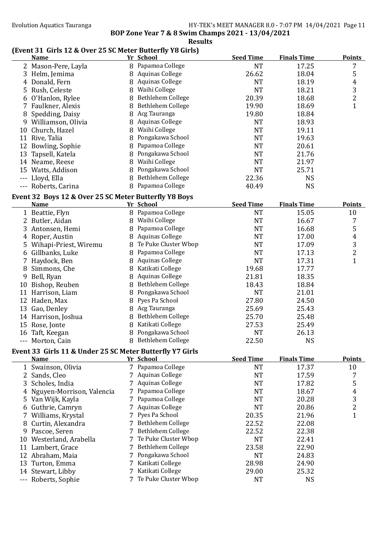**BOP Zone Year 7 & 8 Swim Champs 2021 - 13/04/2021** 

#### **Results**

### **(Event 31 Girls 12 & Over 25 SC Meter Butterfly Y8 Girls)**

|   | (Event 31 Girls 12 & Over 25 SC Meter Butterfly Y8 Girls)<br><b>Name</b> |   | Yr School              | <b>Seed Time</b> | <b>Finals Time</b> | <b>Points</b>  |
|---|--------------------------------------------------------------------------|---|------------------------|------------------|--------------------|----------------|
|   | 2 Mason-Pere, Layla                                                      |   | 8 Papamoa College      | <b>NT</b>        | 17.25              | 7              |
|   | 3 Helm, Jemima                                                           |   | 8 Aquinas College      | 26.62            | 18.04              | 5              |
|   | 4 Donald, Fern                                                           | 8 | <b>Aquinas College</b> | <b>NT</b>        | 18.19              | 4              |
|   | 5 Rush, Celeste                                                          |   | 8 Waihi College        | <b>NT</b>        | 18.21              | 3              |
|   | 6 O'Hanlon, Rylee                                                        |   | 8 Bethlehem College    | 20.39            | 18.68              | $\overline{c}$ |
|   | 7 Faulkner, Alexis                                                       |   | 8 Bethlehem College    | 19.90            | 18.69              | $\mathbf{1}$   |
|   | 8 Spedding, Daisy                                                        |   | 8 Acg Tauranga         | 19.80            | 18.84              |                |
|   | 9 Williamson, Olivia                                                     |   | 8 Aquinas College      | <b>NT</b>        | 18.93              |                |
|   | 10 Church, Hazel                                                         |   | 8 Waihi College        | <b>NT</b>        | 19.11              |                |
|   | 11 Rive, Talia                                                           | 8 | Pongakawa School       | <b>NT</b>        | 19.63              |                |
|   | 12 Bowling, Sophie                                                       | 8 | Papamoa College        | <b>NT</b>        | 20.61              |                |
|   | 13 Tapsell, Katela                                                       | 8 | Pongakawa School       | <b>NT</b>        | 21.76              |                |
|   | 14 Neame, Reese                                                          |   | 8 Waihi College        | <b>NT</b>        | 21.97              |                |
|   | 15 Watts, Addison                                                        | 8 | Pongakawa School       | <b>NT</b>        | 25.71              |                |
|   | --- Lloyd, Ella                                                          |   | 8 Bethlehem College    | 22.36            | <b>NS</b>          |                |
|   | --- Roberts, Carina                                                      |   | 8 Papamoa College      | 40.49            | <b>NS</b>          |                |
|   | Event 32 Boys 12 & Over 25 SC Meter Butterfly Y8 Boys                    |   |                        |                  |                    |                |
|   | <b>Name</b>                                                              |   | Yr_School              | <b>Seed Time</b> | <b>Finals Time</b> | <b>Points</b>  |
|   | 1 Beattie, Flyn                                                          |   | 8 Papamoa College      | <b>NT</b>        | 15.05              | 10             |
|   | 2 Butler, Aidan                                                          |   | 8 Waihi College        | <b>NT</b>        | 16.67              | 7              |
|   | 3 Antonsen, Hemi                                                         |   | 8 Papamoa College      | <b>NT</b>        | 16.68              | 5              |
|   | 4 Roper, Austin                                                          |   | 8 Aquinas College      | <b>NT</b>        | 17.00              | $\overline{4}$ |
|   | 5 Wihapi-Priest, Wiremu                                                  |   | 8 Te Puke Cluster Wbop | <b>NT</b>        | 17.09              | 3              |
|   | 6 Gillbanks, Luke                                                        |   | 8 Papamoa College      | <b>NT</b>        | 17.13              | $\overline{c}$ |
|   | 7 Haydock, Ben                                                           |   | 8 Aquinas College      | <b>NT</b>        | 17.31              | $\mathbf{1}$   |
|   | 8 Simmons, Che                                                           |   | 8 Katikati College     | 19.68            | 17.77              |                |
|   | 9 Bell, Ryan                                                             |   | 8 Aquinas College      | 21.81            | 18.35              |                |
|   | 10 Bishop, Reuben                                                        |   | 8 Bethlehem College    | 18.43            | 18.84              |                |
|   | 11 Harrison, Liam                                                        |   | 8 Pongakawa School     | <b>NT</b>        | 21.01              |                |
|   | 12 Haden, Max                                                            |   | 8 Pyes Pa School       | 27.80            | 24.50              |                |
|   | 13 Gao, Denley                                                           |   | 8 Acg Tauranga         | 25.69            | 25.43              |                |
|   | 14 Harrison, Joshua                                                      |   | 8 Bethlehem College    | 25.70            | 25.48              |                |
|   | 15 Rose, Jonte                                                           |   | 8 Katikati College     | 27.53            | 25.49              |                |
|   | 16 Taft, Keegan                                                          |   | 8 Pongakawa School     | <b>NT</b>        | 26.13              |                |
|   | --- Morton, Cain                                                         |   | 8 Bethlehem College    | 22.50            | <b>NS</b>          |                |
|   | Event 33 Girls 11 & Under 25 SC Meter Butterfly Y7 Girls                 |   |                        |                  |                    |                |
|   | <b>Name</b>                                                              |   | Yr School              | <b>Seed Time</b> | <b>Finals Time</b> | <b>Points</b>  |
|   | 1 Swainson, Olivia                                                       |   | 7 Papamoa College      | <b>NT</b>        | 17.37              | 10             |
|   | 2 Sands, Cleo                                                            |   | 7 Aquinas College      | <b>NT</b>        | 17.59              | 7              |
|   | 3 Scholes, India                                                         |   | <b>Aquinas College</b> | <b>NT</b>        | 17.82              | 5              |
| 4 | Nguyen-Morrison, Valencia                                                |   | Papamoa College        | <b>NT</b>        | 18.67              | 4              |
|   | 5 Van Wijk, Kayla                                                        |   | 7 Papamoa College      | <b>NT</b>        | 20.28              | 3              |
| 6 | Guthrie, Camryn                                                          |   | <b>Aquinas College</b> | <b>NT</b>        | 20.86              | $\overline{c}$ |
|   | 7 Williams, Krystal                                                      |   | Pyes Pa School         | 20.35            | 21.96              | $\mathbf{1}$   |
| 8 | Curtin, Alexandra                                                        |   | Bethlehem College      | 22.52            | 22.08              |                |
|   | 9 Pascoe, Seren                                                          |   | Bethlehem College      | 22.52            | 22.38              |                |
|   | 10 Westerland, Arabella                                                  |   | Te Puke Cluster Wbop   | <b>NT</b>        | 22.41              |                |
|   | 11 Lambert, Grace                                                        |   | Bethlehem College      | 23.58            | 22.90              |                |
|   | 12 Abraham, Maia                                                         |   | Pongakawa School       | <b>NT</b>        | 24.83              |                |
|   | 13 Turton, Emma                                                          |   | 7 Katikati College     | 28.98            | 24.90              |                |

 Stewart, Libby 7 Katikati College 29.00 25.32 --- Roberts, Sophie 7 Te Puke Cluster Wbop NT NS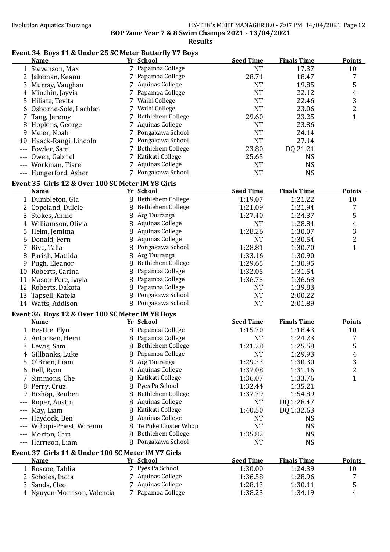**Results**

## Event 34 Boys 11 & Under 25 SC Meter Butterfly Y7 Boys

|     | <b>Name</b>                                                      |   | Yr School              | <b>Seed Time</b>   | <b>Finals Time</b> | <b>Points</b>           |
|-----|------------------------------------------------------------------|---|------------------------|--------------------|--------------------|-------------------------|
|     | 1 Stevenson, Max                                                 |   | 7 Papamoa College      | <b>NT</b>          | 17.37              | 10                      |
|     | 2 Jakeman, Keanu                                                 |   | 7 Papamoa College      | 28.71              | 18.47              | 7                       |
|     | 3 Murray, Vaughan                                                |   | 7 Aquinas College      | <b>NT</b>          | 19.85              | 5                       |
| 4   | Minchin, Jayvia                                                  |   | 7 Papamoa College      | <b>NT</b>          | 22.12              | $\boldsymbol{4}$        |
| 5   | Hiliate, Tevita                                                  |   | 7 Waihi College        | <b>NT</b>          | 22.46              | 3                       |
| 6   | Osborne-Sole, Lachlan                                            |   | 7 Waihi College        | <b>NT</b>          | 23.06              | $\overline{c}$          |
| 7   | Tang, Jeremy                                                     |   | 7 Bethlehem College    | 29.60              | 23.25              | $\mathbf{1}$            |
| 8   | Hopkins, George                                                  | 7 | <b>Aquinas College</b> | <b>NT</b>          | 23.86              |                         |
| 9   | Meier, Noah                                                      | 7 | Pongakawa School       | <b>NT</b>          | 24.14              |                         |
|     | 10 Haack-Rangi, Lincoln                                          |   | 7 Pongakawa School     | <b>NT</b>          | 27.14              |                         |
|     | --- Fowler, Sam                                                  |   | 7 Bethlehem College    | 23.80              | DQ 21.21           |                         |
|     | Owen, Gabriel                                                    |   | 7 Katikati College     | 25.65              | <b>NS</b>          |                         |
|     | --- Workman, Tiare                                               |   | 7 Aquinas College      | <b>NT</b>          | <b>NS</b>          |                         |
|     | --- Hungerford, Asher                                            |   | 7 Pongakawa School     | <b>NT</b>          | <b>NS</b>          |                         |
|     |                                                                  |   |                        |                    |                    |                         |
|     | Event 35 Girls 12 & Over 100 SC Meter IM Y8 Girls<br><b>Name</b> |   | Yr School              | <b>Seed Time</b>   | <b>Finals Time</b> | <b>Points</b>           |
|     |                                                                  |   | 8 Bethlehem College    |                    |                    |                         |
|     | 1 Dumbleton, Gia                                                 |   | 8 Bethlehem College    | 1:19.07<br>1:21.09 | 1:21.22<br>1:21.94 | 10                      |
|     | 2 Copeland, Dulcie                                               |   |                        |                    |                    | 7                       |
|     | 3 Stokes, Annie                                                  |   | 8 Acg Tauranga         | 1:27.40            | 1:24.37            | 5                       |
|     | 4 Williamson, Olivia                                             |   | 8 Aquinas College      | <b>NT</b>          | 1:28.84            | $\overline{4}$          |
|     | 5 Helm, Jemima                                                   |   | 8 Aquinas College      | 1:28.26            | 1:30.07            | 3                       |
|     | 6 Donald, Fern                                                   |   | 8 Aquinas College      | <b>NT</b>          | 1:30.54            | $\overline{\mathbf{c}}$ |
|     | 7 Rive, Talia                                                    |   | 8 Pongakawa School     | 1:28.81            | 1:30.70            | $\mathbf{1}$            |
| 8   | Parish, Matilda                                                  |   | 8 Acg Tauranga         | 1:33.16            | 1:30.90            |                         |
|     | 9 Pugh, Eleanor                                                  |   | 8 Bethlehem College    | 1:29.65            | 1:30.95            |                         |
|     | 10 Roberts, Carina                                               |   | 8 Papamoa College      | 1:32.05            | 1:31.54            |                         |
|     | 11 Mason-Pere, Layla                                             |   | 8 Papamoa College      | 1:36.73            | 1:36.63            |                         |
|     | 12 Roberts, Dakota                                               |   | 8 Papamoa College      | <b>NT</b>          | 1:39.83            |                         |
|     | 13 Tapsell, Katela                                               |   | 8 Pongakawa School     | <b>NT</b>          | 2:00.22            |                         |
|     | 14 Watts, Addison                                                |   | 8 Pongakawa School     | <b>NT</b>          | 2:01.89            |                         |
|     | Event 36 Boys 12 & Over 100 SC Meter IM Y8 Boys                  |   |                        |                    |                    |                         |
|     | <b>Name</b>                                                      |   | Yr School              | <b>Seed Time</b>   | <b>Finals Time</b> | <b>Points</b>           |
|     | 1 Beattie, Flyn                                                  |   | 8 Papamoa College      | 1:15.70            | 1:18.43            | 10                      |
|     | 2 Antonsen, Hemi                                                 |   | 8 Papamoa College      | <b>NT</b>          | 1:24.23            | 7                       |
|     | 3 Lewis, Sam                                                     |   | 8 Bethlehem College    | 1:21.28            | 1:25.58            | 5                       |
| 4   | Gillbanks, Luke                                                  |   | 8 Papamoa College      | <b>NT</b>          | 1:29.93            | $\overline{4}$          |
| 5   | O'Brien, Liam                                                    |   | 8 Acg Tauranga         | 1:29.33            | 1:30.30            | 3                       |
| 6   | Bell, Ryan                                                       |   | 8 Aquinas College      | 1:37.08            | 1:31.16            | $\overline{\mathbf{c}}$ |
| 7   | Simmons, Che                                                     |   | 8 Katikati College     | 1:36.07            | 1:33.76            | $\mathbf{1}$            |
| 8   | Perry, Cruz                                                      |   | 8 Pyes Pa School       | 1:32.44            | 1:35.21            |                         |
| 9   | Bishop, Reuben                                                   |   | 8 Bethlehem College    | 1:37.79            | 1:54.89            |                         |
|     | Roper, Austin                                                    | 8 | <b>Aquinas College</b> | <b>NT</b>          | DQ 1:28.47         |                         |
|     | May, Liam                                                        | 8 | Katikati College       | 1:40.50            | DQ 1:32.63         |                         |
|     | Haydock, Ben                                                     | 8 | Aquinas College        | NT                 | <b>NS</b>          |                         |
|     | Wihapi-Priest, Wiremu                                            |   | 8 Te Puke Cluster Wbop | <b>NT</b>          | <b>NS</b>          |                         |
|     | Morton, Cain                                                     |   | 8 Bethlehem College    | 1:35.82            | <b>NS</b>          |                         |
| --- | Harrison, Liam                                                   |   | 8 Pongakawa School     | <b>NT</b>          | <b>NS</b>          |                         |
|     |                                                                  |   |                        |                    |                    |                         |
|     | Event 37 Girls 11 & Under 100 SC Meter IM Y7 Girls               |   |                        |                    |                    |                         |
|     | <b>Name</b>                                                      |   | Yr School              | <b>Seed Time</b>   | <b>Finals Time</b> | <b>Points</b>           |
|     | 1 Roscoe, Tahlia                                                 |   | 7 Pyes Pa School       | 1:30.00            | 1:24.39            | 10                      |
| 2   | Scholes, India                                                   |   | 7 Aquinas College      | 1:36.58            | 1:28.96            | 7                       |
| 3   | Sands, Cleo                                                      | 7 | <b>Aquinas College</b> | 1:28.13            | 1:30.11            | 5                       |
|     | 4 Nguyen-Morrison, Valencia                                      |   | 7 Papamoa College      | 1:38.23            | 1:34.19            | $\overline{4}$          |